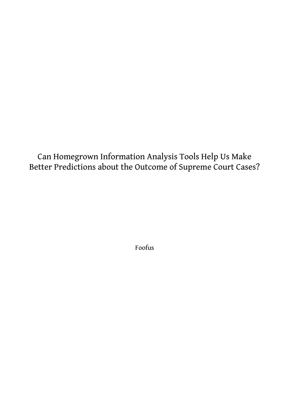Can Homegrown Information Analysis Tools Help Us Make Better Predictions about the Outcome of Supreme Court Cases?

Foofus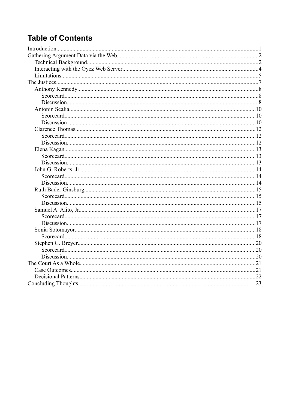# **Table of Contents**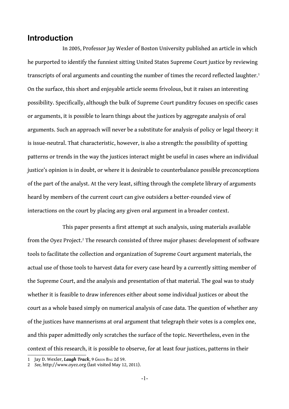## **Introduction**

In 2005, Professor Jay Wexler of Boston University published an article in which he purported to identify the funniest sitting United States Supreme Court justice by reviewing transcripts of oral arguments and counting the number of times the record reflected laughter.<sup>[1](#page-2-0)</sup> On the surface, this short and enjoyable article seems frivolous, but it raises an interesting possibility. Specifically, although the bulk of Supreme Court punditry focuses on specific cases or arguments, it is possible to learn things about the justices by aggregate analysis of oral arguments. Such an approach will never be a substitute for analysis of policy or legal theory: it is issue-neutral. That characteristic, however, is also a strength: the possibility of spotting patterns or trends in the way the justices interact might be useful in cases where an individual justice's opinion is in doubt, or where it is desirable to counterbalance possible preconceptions of the part of the analyst. At the very least, sifting through the complete library of arguments heard by members of the current court can give outsiders a better-rounded view of interactions on the court by placing any given oral argument in a broader context.

This paper presents a first attempt at such analysis, using materials available from the Oyez Project.<sup>[2](#page-2-1)</sup> The research consisted of three major phases: development of software tools to facilitate the collection and organization of Supreme Court argument materials, the actual use of those tools to harvest data for every case heard by a currently sitting member of the Supreme Court, and the analysis and presentation of that material. The goal was to study whether it is feasible to draw inferences either about some individual justices or about the court as a whole based simply on numerical analysis of case data. The question of whether any of the justices have mannerisms at oral argument that telegraph their votes is a complex one, and this paper admittedly only scratches the surface of the topic. Nevertheless, even in the context of this research, it is possible to observe, for at least four justices, patterns in their

<span id="page-2-0"></span><sup>1</sup> Jay D. Wexler, *Laugh Track*, 9 GREEN BAG 2d 59.

<span id="page-2-1"></span><sup>2</sup> *See,* http://www.oyez.org (last visited May 12, 2011).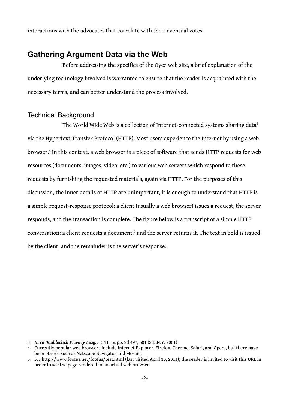interactions with the advocates that correlate with their eventual votes.

## **Gathering Argument Data via the Web**

Before addressing the specifics of the Oyez web site, a brief explanation of the underlying technology involved is warranted to ensure that the reader is acquainted with the necessary terms, and can better understand the process involved.

### Technical Background

The World Wide Web is a collection of Internet-connected systems sharing data<sup>[3](#page-3-0)</sup> via the Hypertext Transfer Protocol (HTTP). Most users experience the Internet by using a web browser.<sup>[4](#page-3-1)</sup> In this context, a web browser is a piece of software that sends HTTP requests for web resources (documents, images, video, etc.) to various web servers which respond to these requests by furnishing the requested materials, again via HTTP. For the purposes of this discussion, the inner details of HTTP are unimportant, it is enough to understand that HTTP is a simple request-response protocol: a client (usually a web browser) issues a request, the server responds, and the transaction is complete. The figure below is a transcript of a simple HTTP conversation: a client requests a document,<sup>[5](#page-3-2)</sup> and the server returns it. The text in bold is issued by the client, and the remainder is the server's response.

<span id="page-3-0"></span><sup>3</sup> *In re Doubleclick Privacy Litig.*, 154 F. Supp. 2d 497, 501 (S.D.N.Y. 2001)

<span id="page-3-1"></span><sup>4</sup> Currently popular web browsers include Internet Explorer, Firefox, Chrome, Safari, and Opera, but there have been others, such as Netscape Navigator and Mosaic.

<span id="page-3-2"></span><sup>5</sup> *See* http://www.foofus.net/foofus/test.html (last visited April 30, 2011); the reader is invited to visit this URL in order to see the page rendered in an actual web browser.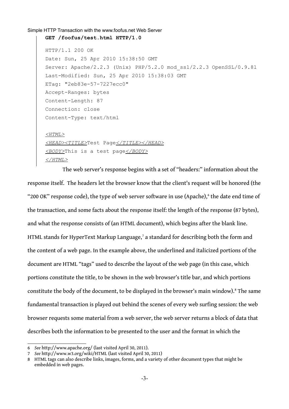```
Simple HTTP Transaction with the www.foofus.net Web Server
GET /foofus/test.html HTTP/1.0
HTTP/1.1 200 OK
Date: Sun, 25 Apr 2010 15:38:50 GMT
Server: Apache/2.2.3 (Unix) PHP/5.2.0 mod_ssl/2.2.3 OpenSSL/0.9.8l
Last-Modified: Sun, 25 Apr 2010 15:38:03 GMT
ETag: "2eb83e-57-7227ecc0"
Accept-Ranges: bytes
Content-Length: 87
Connection: close
Content-Type: text/html
<HTML>
<HEAD><TITLE>Test Page</TITLE></HEAD>
<BODY>This is a test page</BODY>
</HTML>
```
The web server's response begins with a set of "headers:" information about the response itself. The headers let the browser know that the client's request will be honored (the "200 OK" response code), the type of web server software in use (Apache), $^6$  $^6$  the date end time of the transaction, and some facts about the response itself: the length of the response (87 bytes), and what the response consists of (an HTML document), which begins after the blank line. HTML stands for HyperText Markup Language,<sup>[7](#page-4-1)</sup> a standard for describing both the form and the content of a web page. In the example above, the underlined and italicized portions of the document are HTML "tags" used to describe the layout of the web page (in this case, which portions constitute the title, to be shown in the web browser's title bar, and which portions constitute the body of the document, to be displayed in the browser's main window).<sup>[8](#page-4-2)</sup> The same fundamental transaction is played out behind the scenes of every web surfing session: the web browser requests some material from a web server, the web server returns a block of data that describes both the information to be presented to the user and the format in which the

<span id="page-4-0"></span><sup>6</sup> *See* http://www.apache.org/ (last visited April 30, 2011).

<span id="page-4-1"></span><sup>7</sup> *See* http://www.w3.org/wiki/HTML (last visited April 30, 2011)

<span id="page-4-2"></span><sup>8</sup> HTML tags can also describe links, images, forms, and a variety of other document types that might be embedded in web pages.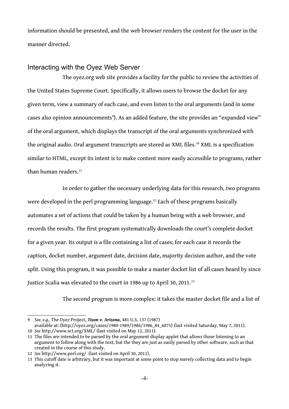information should be presented, and the web browser renders the content for the user in the manner directed.

### Interacting with the Oyez Web Server

The oyez.org web site provides a facility for the public to review the activities of the United States Supreme Court. Specifically, it allows users to browse the docket for any given term, view a summary of each case, and even listen to the oral arguments (and in some cases also opinion announcements°). As an added feature, the site provides an "expanded view" of the oral argument, which displays the transcript of the oral arguments synchronized with the original audio. Oral argument transcripts are stored as XML files.<sup>[10](#page-5-1)</sup> XML is a specification similar to HTML, except its intent is to make content more easily accessible to programs, rather than human readers.<sup>[11](#page-5-2)</sup>

In order to gather the necessary underlying data for this research, two programs were developed in the perl programming language.<sup>[12](#page-5-3)</sup> Each of these programs basically automates a set of actions that could be taken by a human being with a web browser, and records the results. The first program systematically downloads the court's complete docket for a given year. Its output is a file containing a list of cases; for each case it records the caption, docket number, argument date, decision date, majority decision author, and the vote split. Using this program, it was possible to make a master docket list of all cases heard by since Justice Scalia was elevated to the court in 1986 up to April 30, 2011.<sup>[13](#page-5-4)</sup>

The second program is more complex: it takes the master docket file and a list of

<span id="page-5-0"></span><sup>9</sup> *See, e.g.,* The Oyez Project, *Tison v. Arizona*, 481 U.S. 137 (1987)

<span id="page-5-1"></span>available at: (http://oyez.org/cases/1980-1989/1986/1986\_84\_6075) (last visited Saturday, May 7, 2011). 10 *See* http://www.w3.org/XML/ (last visited on May 12, 2011).

<span id="page-5-2"></span><sup>11</sup> The files are intended to be parsed by the oral argument display applet that allows those listening to an argument to follow along with the text, but the they are just as easily parsed by other software, such as that created in the course of this study.

<span id="page-5-3"></span><sup>12</sup> *See* http://www.perl.org/ (last visited on April 30, 2011).

<span id="page-5-4"></span><sup>13</sup> This cutoff date is arbitrary, but it was important at some point to stop merely collecting data and to begin analyzing it.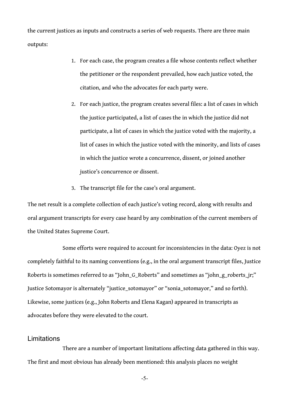the current justices as inputs and constructs a series of web requests. There are three main outputs:

- 1. For each case, the program creates a file whose contents reflect whether the petitioner or the respondent prevailed, how each justice voted, the citation, and who the advocates for each party were.
- 2. For each justice, the program creates several files: a list of cases in which the justice participated, a list of cases the in which the justice did not participate, a list of cases in which the justice voted with the majority, a list of cases in which the justice voted with the minority, and lists of cases in which the justice wrote a concurrence, dissent, or joined another justice's concurrence or dissent.
- 3. The transcript file for the case's oral argument.

The net result is a complete collection of each justice's voting record, along with results and oral argument transcripts for every case heard by any combination of the current members of the United States Supreme Court.

Some efforts were required to account for inconsistencies in the data: Oyez is not completely faithful to its naming conventions (e.g., in the oral argument transcript files, Justice Roberts is sometimes referred to as "John\_G\_Roberts" and sometimes as "john\_g\_roberts\_jr;" Justice Sotomayor is alternately "justice\_sotomayor" or "sonia\_sotomayor," and so forth). Likewise, some justices (e.g., John Roberts and Elena Kagan) appeared in transcripts as advocates before they were elevated to the court.

### **Limitations**

There are a number of important limitations affecting data gathered in this way. The first and most obvious has already been mentioned: this analysis places no weight

-5-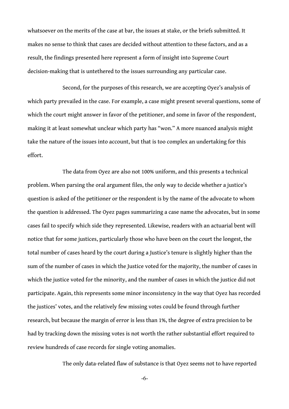whatsoever on the merits of the case at bar, the issues at stake, or the briefs submitted. It makes no sense to think that cases are decided without attention to these factors, and as a result, the findings presented here represent a form of insight into Supreme Court decision-making that is untethered to the issues surrounding any particular case.

Second, for the purposes of this research, we are accepting Oyez's analysis of which party prevailed in the case. For example, a case might present several questions, some of which the court might answer in favor of the petitioner, and some in favor of the respondent, making it at least somewhat unclear which party has "won." A more nuanced analysis might take the nature of the issues into account, but that is too complex an undertaking for this effort.

The data from Oyez are also not 100% uniform, and this presents a technical problem. When parsing the oral argument files, the only way to decide whether a justice's question is asked of the petitioner or the respondent is by the name of the advocate to whom the question is addressed. The Oyez pages summarizing a case name the advocates, but in some cases fail to specify which side they represented. Likewise, readers with an actuarial bent will notice that for some justices, particularly those who have been on the court the longest, the total number of cases heard by the court during a Justice's tenure is slightly higher than the sum of the number of cases in which the Justice voted for the majority, the number of cases in which the justice voted for the minority, and the number of cases in which the justice did not participate. Again, this represents some minor inconsistency in the way that Oyez has recorded the justices' votes, and the relatively few missing votes could be found through further research, but because the margin of error is less than 1%, the degree of extra precision to be had by tracking down the missing votes is not worth the rather substantial effort required to review hundreds of case records for single voting anomalies.

The only data-related flaw of substance is that Oyez seems not to have reported

-6-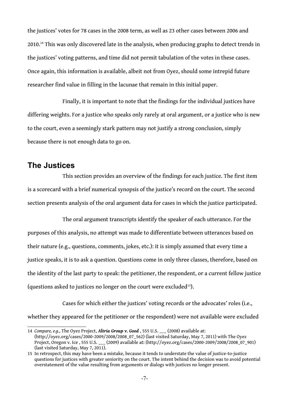the justices' votes for 78 cases in the 2008 term, as well as 23 other cases between 2006 and 2010.[14](#page-8-0) This was only discovered late in the analysis, when producing graphs to detect trends in the justices' voting patterns, and time did not permit tabulation of the votes in these cases. Once again, this information is available, albeit not from Oyez, should some intrepid future researcher find value in filling in the lacunae that remain in this initial paper.

Finally, it is important to note that the findings for the individual justices have differing weights. For a justice who speaks only rarely at oral argument, or a justice who is new to the court, even a seemingly stark pattern may not justify a strong conclusion, simply because there is not enough data to go on.

## **The Justices**

This section provides an overview of the findings for each justice. The first item is a scorecard with a brief numerical synopsis of the justice's record on the court. The second section presents analysis of the oral argument data for cases in which the justice participated.

The oral argument transcripts identify the speaker of each utterance. For the purposes of this analysis, no attempt was made to differentiate between utterances based on their nature (e.g., questions, comments, jokes, etc.): it is simply assumed that every time a justice speaks, it is to ask a question. Questions come in only three classes, therefore, based on the identity of the last party to speak: the petitioner, the respondent, or a current fellow justice (questions asked to justices no longer on the court were excluded[15](#page-8-1)).

Cases for which either the justices' voting records or the advocates' roles (i.e., whether they appeared for the petitioner or the respondent) were not available were excluded

<span id="page-8-0"></span><sup>14</sup> *Compare, e.g.*, The Oyez Project, *Altria Group v. Good* , 555 U.S. \_\_\_ (2008) available at: (http://oyez.org/cases/2000-2009/2008/2008\_07\_562) (last visited Saturday, May 7, 2011) with The Oyez Project, Oregon v. Ice , 555 U.S. \_\_\_ (2009) available at: (http://oyez.org/cases/2000-2009/2008/2008\_07\_901) (last visited Saturday, May 7, 2011).

<span id="page-8-1"></span><sup>15</sup> In retrospect, this may have been a mistake, because it tends to understate the value of justice-to-justice questions for justices with greater seniority on the court. The intent behind the decision was to avoid potential overstatement of the value resulting from arguments or dialogs with justices no longer present.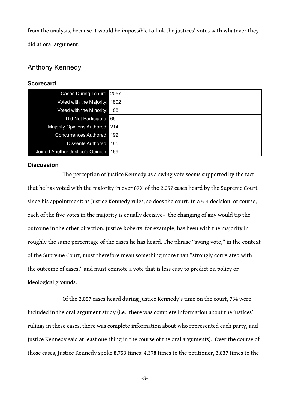from the analysis, because it would be impossible to link the justices' votes with whatever they did at oral argument.

## Anthony Kennedy

#### **Scorecard**

| Cases During Tenure: 2057         |      |
|-----------------------------------|------|
| Voted with the Majority:          | 1802 |
| Voted with the Minority: 188      |      |
| Did Not Participate: 65           |      |
| Majority Opinions Authored: 214   |      |
| Concurrences Authored: 192        |      |
| Dissents Authored: 185            |      |
| Joined Another Justice's Opinion: | 169  |

#### **Discussion**

The perception of Justice Kennedy as a swing vote seems supported by the fact that he has voted with the majority in over 87% of the 2,057 cases heard by the Supreme Court since his appointment: as Justice Kennedy rules, so does the court. In a 5-4 decision, of course, each of the five votes in the majority is equally decisive– the changing of any would tip the outcome in the other direction. Justice Roberts, for example, has been with the majority in roughly the same percentage of the cases he has heard. The phrase "swing vote," in the context of the Supreme Court, must therefore mean something more than "strongly correlated with the outcome of cases," and must connote a vote that is less easy to predict on policy or ideological grounds.

Of the 2,057 cases heard during Justice Kennedy's time on the court, 734 were included in the oral argument study (i.e., there was complete information about the justices' rulings in these cases, there was complete information about who represented each party, and Justice Kennedy said at least one thing in the course of the oral arguments). Over the course of those cases, Justice Kennedy spoke 8,753 times: 4,378 times to the petitioner, 3,837 times to the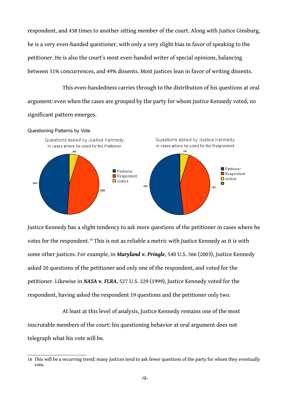respondent, and 438 times to another sitting member of the court. Along with Justice Ginsburg, he is a very even-handed questioner, with only a very slight bias in favor of speaking to the petitioner. He is also the court's most even-handed writer of special opinions, balancing between 51% concurrences, and 49% dissents. Most justices lean in favor of writing dissents.

This even-handedness carries through to the distribution of his questions at oral argument: even when the cases are grouped by the party for whom Justice Kennedy voted, no significant pattern emerges.



Justice Kennedy has a slight tendency to ask more questions of the petitioner in cases where he votes for the respondent.<sup>[16](#page-10-0)</sup> This is not as reliable a metric with Justice Kennedy as it is with some other justices. For example, in *Maryland v. Pringle*, 540 U.S. 366 (2003), Justice Kennedy asked 20 questions of the petitioner and only one of the respondent, and voted for the petitioner. Likewise in *NASA v. FLRA*, 527 U.S. 229 (1999), Justice Kennedy voted for the respondent, having asked the respondent 19 questions and the petitioner only two.

At least at this level of analysis, Justice Kennedy remains one of the most inscrutable members of the court: his questioning behavior at oral argument does not telegraph what his vote will be.

<span id="page-10-0"></span><sup>16</sup> This will be a recurring trend: many justices tend to ask fewer questions of the party for whom they eventually vote.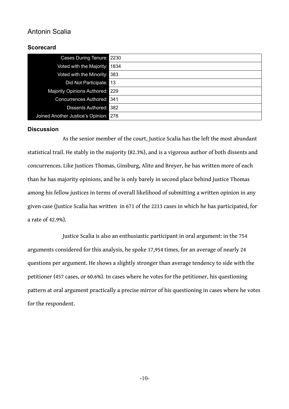## Antonin Scalia

### **Scorecard**

| Cases During Tenure: 2230             |      |
|---------------------------------------|------|
| Voted with the Majority:              | 1834 |
| Voted with the Minority: 383          |      |
| Did Not Participate:                  | ' 13 |
| Majority Opinions Authored: 229       |      |
| <b>Concurrences Authored: 341</b>     |      |
| Dissents Authored: 382                |      |
| Joined Another Justice's Opinion: 278 |      |

#### **Discussion**

As the senior member of the court, Justice Scalia has the left the most abundant statistical trail. He stably in the majority (82.3%), and is a vigorous author of both dissents and concurrences. Like Justices Thomas, Ginsburg, Alito and Breyer, he has written more of each than he has majority opinions, and he is only barely in second place behind Justice Thomas among his fellow justices in terms of overall likelihood of submitting a written opinion in any given case (Justice Scalia has written in 671 of the 2213 cases in which he has participated, for a rate of 42.9%).

Justice Scalia is also an enthusiastic participant in oral argument: in the 754 arguments considered for this analysis, he spoke 17,954 times, for an average of nearly 24 questions per argument. He shows a slightly stronger than average tendency to side with the petitioner (457 cases, or 60.6%). In cases where he votes for the petitioner, his questioning pattern at oral argument practically a precise mirror of his questioning in cases where he votes for the respondent.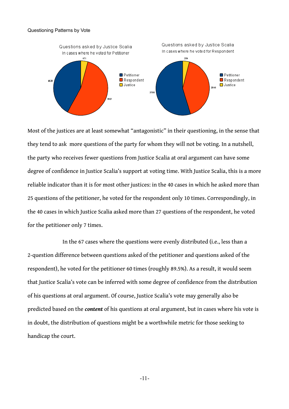#### Questioning Patterns by Vote



Most of the justices are at least somewhat "antagonistic" in their questioning, in the sense that they tend to ask more questions of the party for whom they will not be voting. In a nutshell, the party who receives fewer questions from Justice Scalia at oral argument can have some degree of confidence in Justice Scalia's support at voting time. With Justice Scalia, this is a more reliable indicator than it is for most other justices: in the 40 cases in which he asked more than 25 questions of the petitioner, he voted for the respondent only 10 times. Correspondingly, in the 40 cases in which Justice Scalia asked more than 27 questions of the respondent, he voted for the petitioner only 7 times.

In the 67 cases where the questions were evenly distributed (i.e., less than a 2-question difference between questions asked of the petitioner and questions asked of the respondent), he voted for the petitioner 60 times (roughly 89.5%). As a result, it would seem that Justice Scalia's vote can be inferred with some degree of confidence from the distribution of his questions at oral argument. Of course, Justice Scalia's vote may generally also be predicted based on the *content* of his questions at oral argument, but in cases where his vote is in doubt, the distribution of questions might be a worthwhile metric for those seeking to handicap the court.

-11-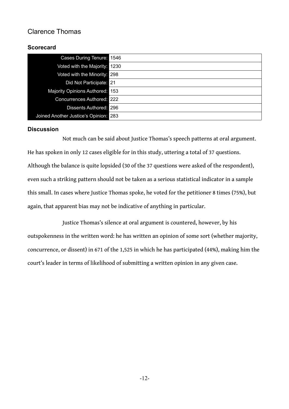## Clarence Thomas

### **Scorecard**

| Cases During Tenure: 1546             |  |
|---------------------------------------|--|
| Voted with the Majority: 1230         |  |
| Voted with the Minority: 298          |  |
| Did Not Participate: 21               |  |
| Majority Opinions Authored: 153       |  |
| Concurrences Authored: 222            |  |
| <b>Dissents Authored: 296</b>         |  |
| Joined Another Justice's Opinion: 283 |  |

#### **Discussion**

Not much can be said about Justice Thomas's speech patterns at oral argument. He has spoken in only 12 cases eligible for in this study, uttering a total of 37 questions. Although the balance is quite lopsided (30 of the 37 questions were asked of the respondent), even such a striking pattern should not be taken as a serious statistical indicator in a sample this small. In cases where Justice Thomas spoke, he voted for the petitioner 8 times (75%), but again, that apparent bias may not be indicative of anything in particular.

Justice Thomas's silence at oral argument is countered, however, by his outspokenness in the written word: he has written an opinion of some sort (whether majority, concurrence, or dissent) in 671 of the 1,525 in which he has participated (44%), making him the court's leader in terms of likelihood of submitting a written opinion in any given case.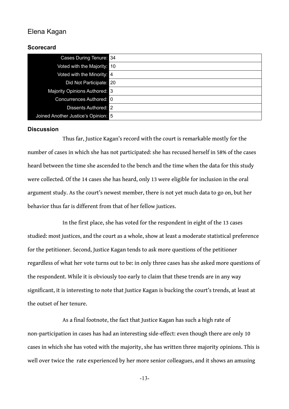## Elena Kagan

#### **Scorecard**

| Cases During Tenure: 34             |  |
|-------------------------------------|--|
| Voted with the Majority: 10         |  |
| Voted with the Minority: 4          |  |
| Did Not Participate: 20             |  |
| Majority Opinions Authored: 3       |  |
| Concurrences Authored: 0            |  |
| Dissents Authored: 2                |  |
| Joined Another Justice's Opinion: 5 |  |

#### **Discussion**

Thus far, Justice Kagan's record with the court is remarkable mostly for the number of cases in which she has not participated: she has recused herself in 58% of the cases heard between the time she ascended to the bench and the time when the data for this study were collected. Of the 14 cases she has heard, only 13 were eligible for inclusion in the oral argument study. As the court's newest member, there is not yet much data to go on, but her behavior thus far is different from that of her fellow justices.

In the first place, she has voted for the respondent in eight of the 13 cases studied: most justices, and the court as a whole, show at least a moderate statistical preference for the petitioner. Second, Justice Kagan tends to ask more questions of the petitioner regardless of what her vote turns out to be: in only three cases has she asked more questions of the respondent. While it is obviously too early to claim that these trends are in any way significant, it is interesting to note that Justice Kagan is bucking the court's trends, at least at the outset of her tenure.

As a final footnote, the fact that Justice Kagan has such a high rate of non-participation in cases has had an interesting side-effect: even though there are only 10 cases in which she has voted with the majority, she has written three majority opinions. This is well over twice the rate experienced by her more senior colleagues, and it shows an amusing

-13-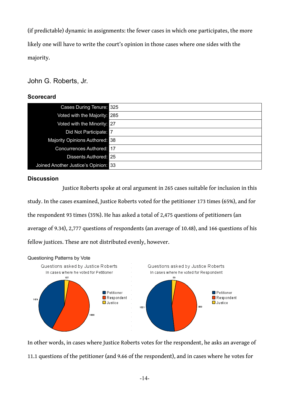(if predictable) dynamic in assignments: the fewer cases in which one participates, the more likely one will have to write the court's opinion in those cases where one sides with the majority.

## John G. Roberts, Jr.

#### **Scorecard**

| Cases During Tenure: 325             |  |
|--------------------------------------|--|
| Voted with the Majority: 285         |  |
| Voted with the Minority: 27          |  |
| Did Not Participate: 7               |  |
| Majority Opinions Authored: 38       |  |
| <b>Concurrences Authored: 17</b>     |  |
| <b>Dissents Authored: 25</b>         |  |
| Joined Another Justice's Opinion: 33 |  |

#### **Discussion**

Justice Roberts spoke at oral argument in 265 cases suitable for inclusion in this study. In the cases examined, Justice Roberts voted for the petitioner 173 times (65%), and for the respondent 93 times (35%). He has asked a total of 2,475 questions of petitioners (an average of 9.34), 2,777 questions of respondents (an average of 10.48), and 166 questions of his fellow justices. These are not distributed evenly, however.



In other words, in cases where Justice Roberts votes for the respondent, he asks an average of 11.1 questions of the petitioner (and 9.66 of the respondent), and in cases where he votes for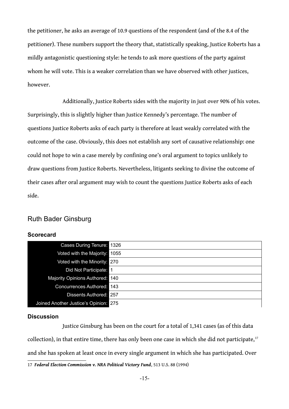the petitioner, he asks an average of 10.9 questions of the respondent (and of the 8.4 of the petitioner). These numbers support the theory that, statistically speaking, Justice Roberts has a mildly antagonistic questioning style: he tends to ask more questions of the party against whom he will vote. This is a weaker correlation than we have observed with other justices, however.

Additionally, Justice Roberts sides with the majority in just over 90% of his votes. Surprisingly, this is slightly higher than Justice Kennedy's percentage. The number of questions Justice Roberts asks of each party is therefore at least weakly correlated with the outcome of the case. Obviously, this does not establish any sort of causative relationship: one could not hope to win a case merely by confining one's oral argument to topics unlikely to draw questions from Justice Roberts. Nevertheless, litigants seeking to divine the outcome of their cases after oral argument may wish to count the questions Justice Roberts asks of each side.

## Ruth Bader Ginsburg

#### **Scorecard**

| Cases During Tenure: 1326             |      |
|---------------------------------------|------|
| Voted with the Majority:              | 1055 |
| Voted with the Minority: 270          |      |
| Did Not Participate: 1                |      |
| Majority Opinions Authored:           | 140  |
| Concurrences Authored: 143            |      |
| Dissents Authored: 257                |      |
| Joined Another Justice's Opinion: 275 |      |

#### **Discussion**

Justice Ginsburg has been on the court for a total of 1,341 cases (as of this data collection), in that entire time, there has only been one case in which she did not participate, $17$ and she has spoken at least once in every single argument in which she has participated. Over

<span id="page-16-0"></span><sup>17</sup> *Federal Election Commission v. NRA Political Victory Fund*, 513 U.S. 88 (1994)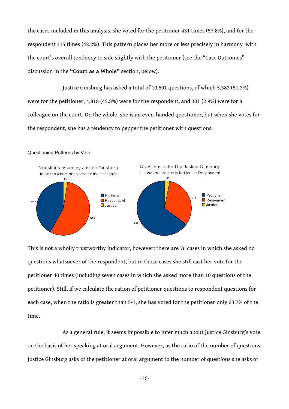the cases included in this analysis, she voted for the petitioner 431 times (57.8%), and for the respondent 315 times (42.2%). This pattern places her more or less precisely in harmony with the court's overall tendency to side slightly with the petitioner (see the "Case Outcomes" discussion in the **"Court as a Whole"** section, below).

Justice Ginsburg has asked a total of 10,501 questions, of which 5,382 (51.2%) were for the petitioner, 4,818 (45.8%) were for the respondent, and 301 (2.9%) were for a colleague on the court. On the whole, she is an even-handed questioner, but when she votes for the respondent, she has a tendency to pepper the petitioner with questions.

#### Questioning Patterns by Vote



This is not a wholly trustworthy indicator, however: there are 76 cases in which she asked no questions whatsoever of the respondent, but in those cases she still cast her vote for the petitioner 40 times (including seven cases in which she asked more than 10 questions of the petitioner). Still, if we calculate the ration of petitioner questions to respondent questions for each case, when the ratio is greater than 5-1, she has voted for the petitioner only 23.7% of the time.

As a general rule, it seems impossible to infer much about Justice Ginsburg's vote on the basis of her speaking at oral argument. However, as the ratio of the number of questions Justice Ginsburg asks of the petitioner at oral argument to the number of questions she asks of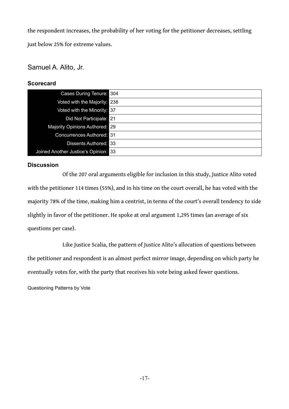the respondent increases, the probability of her voting for the petitioner decreases, settling just below 25% for extreme values.

## Samuel A. Alito, Jr.

### **Scorecard**

| Cases During Tenure: 304             |  |
|--------------------------------------|--|
| Voted with the Majority: 238         |  |
| Voted with the Minority: 37          |  |
| Did Not Participate: 21              |  |
| Majority Opinions Authored: 29       |  |
| <b>Concurrences Authored: 31</b>     |  |
| Dissents Authored: 33                |  |
| Joined Another Justice's Opinion: 33 |  |

#### **Discussion**

Of the 207 oral arguments eligible for inclusion in this study, Justice Alito voted with the petitioner 114 times (55%), and in his time on the court overall, he has voted with the majority 78% of the time, making him a centrist, in terms of the court's overall tendency to side slightly in favor of the petitioner. He spoke at oral argument 1,295 times (an average of six questions per case).

Like Justice Scalia, the pattern of Justice Alito's allocation of questions between the petitioner and respondent is an almost perfect mirror image, depending on which party he eventually votes for, with the party that receives his vote being asked fewer questions.

Questioning Patterns by Vote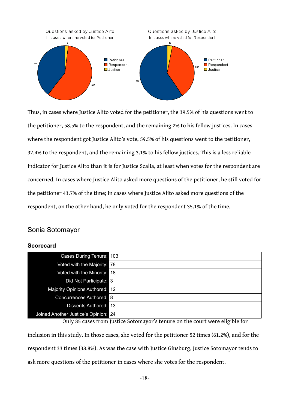

Thus, in cases where Justice Alito voted for the petitioner, the 39.5% of his questions went to the petitioner, 58.5% to the respondent, and the remaining 2% to his fellow justices. In cases where the respondent got Justice Alito's vote, 59.5% of his questions went to the petitioner, 37.4% to the respondent, and the remaining 3.1% to his fellow justices. This is a less reliable indicator for Justice Alito than it is for Justice Scalia, at least when votes for the respondent are concerned. In cases where Justice Alito asked more questions of the petitioner, he still voted for the petitioner 43.7% of the time; in cases where Justice Alito asked more questions of the respondent, on the other hand, he only voted for the respondent 35.1% of the time.

#### Sonia Sotomayor

#### **Scorecard**

| <b>Cases During Tenure: 103</b>      |  |
|--------------------------------------|--|
| Voted with the Majority: 78          |  |
| Voted with the Minority: 18          |  |
| Did Not Participate: 3               |  |
| Majority Opinions Authored: 12       |  |
| Concurrences Authored: 8             |  |
| Dissents Authored: 13                |  |
| Joined Another Justice's Opinion: 24 |  |

Only 85 cases from Justice Sotomayor's tenure on the court were eligible for

inclusion in this study. In those cases, she voted for the petitioner 52 times (61.2%), and for the respondent 33 times (38.8%). As was the case with Justice Ginsburg, Justice Sotomayor tends to ask more questions of the petitioner in cases where she votes for the respondent.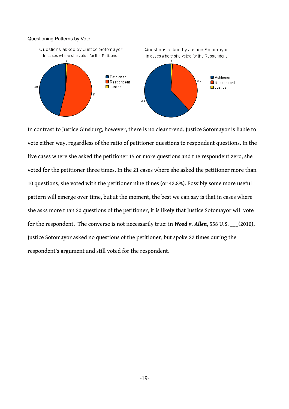#### Questioning Patterns by Vote



In contrast to Justice Ginsburg, however, there is no clear trend. Justice Sotomayor is liable to vote either way, regardless of the ratio of petitioner questions to respondent questions. In the five cases where she asked the petitioner 15 or more questions and the respondent zero, she voted for the petitioner three times. In the 21 cases where she asked the petitioner more than 10 questions, she voted with the petitioner nine times (or 42.8%). Possibly some more useful pattern will emerge over time, but at the moment, the best we can say is that in cases where she asks more than 20 questions of the petitioner, it is likely that Justice Sotomayor will vote for the respondent. The converse is not necessarily true: in *Wood v. Allen*, 558 U.S. \_\_\_(2010), Justice Sotomayor asked no questions of the petitioner, but spoke 22 times during the respondent's argument and still voted for the respondent.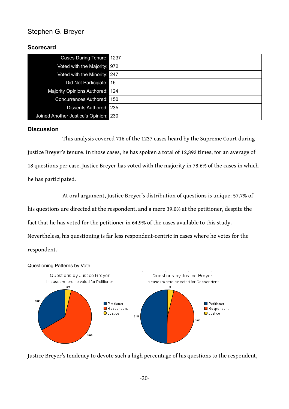## Stephen G. Breyer

## **Scorecard**

| <b>Cases During Tenure: 1237</b>      |  |
|---------------------------------------|--|
| Voted with the Majority: 972          |  |
| Voted with the Minority: 247          |  |
| Did Not Participate: 16               |  |
| Majority Opinions Authored: 124       |  |
| Concurrences Authored: 150            |  |
| <b>Dissents Authored: 235</b>         |  |
| Joined Another Justice's Opinion: 230 |  |

### **Discussion**

This analysis covered 716 of the 1237 cases heard by the Supreme Court during Justice Breyer's tenure. In those cases, he has spoken a total of 12,892 times, for an average of 18 questions per case. Justice Breyer has voted with the majority in 78.6% of the cases in which he has participated.

At oral argument, Justice Breyer's distribution of questions is unique: 57.7% of his questions are directed at the respondent, and a mere 39.0% at the petitioner, despite the fact that he has voted for the petitioner in 64.9% of the cases available to this study. Nevertheless, his questioning is far less respondent-centric in cases where he votes for the respondent.



Justice Breyer's tendency to devote such a high percentage of his questions to the respondent,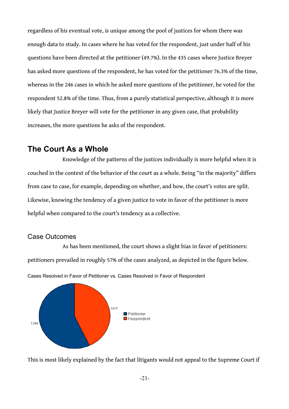regardless of his eventual vote, is unique among the pool of justices for whom there was enough data to study. In cases where he has voted for the respondent, just under half of his questions have been directed at the petitioner (49.7%). In the 435 cases where Justice Breyer has asked more questions of the respondent, he has voted for the petitioner 76.3% of the time, whereas in the 246 cases in which he asked more questions of the petitioner, he voted for the respondent 52.8% of the time. Thus, from a purely statistical perspective, although it is more likely that Justice Breyer will vote for the petitioner in any given case, that probability increases, the more questions he asks of the respondent.

## **The Court As a Whole**

Knowledge of the patterns of the justices individually is more helpful when it is couched in the context of the behavior of the court as a whole. Being "in the majority" differs from case to case, for example, depending on whether, and how, the court's votes are split. Likewise, knowing the tendency of a given justice to vote in favor of the petitioner is more helpful when compared to the court's tendency as a collective.

## Case Outcomes

As has been mentioned, the court shows a slight bias in favor of petitioners: petitioners prevailed in roughly 57% of the cases analyzed, as depicted in the figure below.



Cases Resolved in Favor of Petitioner vs. Cases Resolved in Favor of Respondent

This is most likely explained by the fact that litigants would not appeal to the Supreme Court if

-21-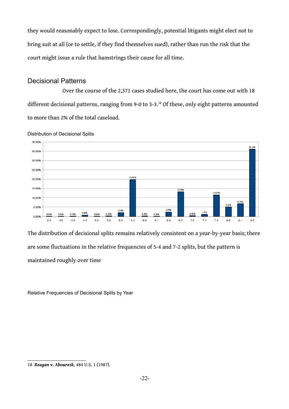they would reasonably expect to lose. Correspondingly, potential litigants might elect not to bring suit at all (or to settle, if they find themselves sued), rather than run the risk that the court might issue a rule that hamstrings their cause for all time.

### Decisional Patterns

Over the course of the 2,371 cases studied here, the court has come out with 18 different decisional patterns, ranging from 9-0 to 3-3.<sup>[18](#page-23-0)</sup> Of these, only eight patterns amounted to more than 2% of the total caseload.



Distribution of Decisional Splits

The distribution of decisional splits remains relatively consistent on a year-by-year basis; there are some fluctuations in the relative frequencies of 5-4 and 7-2 splits, but the pattern is maintained roughly over time

Relative Frequencies of Decisional Splits by Year

<span id="page-23-0"></span><sup>18</sup> *Reagan v. Abourezk*, 484 U.S. 1 (1987).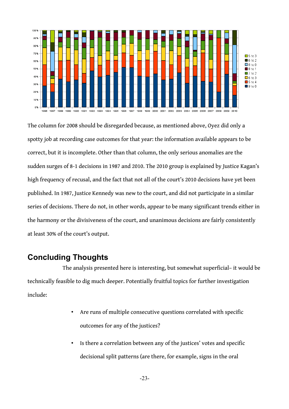

The column for 2008 should be disregarded because, as mentioned above, Oyez did only a spotty job at recording case outcomes for that year: the information available appears to be correct, but it is incomplete. Other than that column, the only serious anomalies are the sudden surges of 8-1 decisions in 1987 and 2010. The 2010 group is explained by Justice Kagan's high frequency of recusal, and the fact that not all of the court's 2010 decisions have yet been published. In 1987, Justice Kennedy was new to the court, and did not participate in a similar series of decisions. There do not, in other words, appear to be many significant trends either in the harmony or the divisiveness of the court, and unanimous decisions are fairly consistently at least 30% of the court's output.

## **Concluding Thoughts**

The analysis presented here is interesting, but somewhat superficial– it would be technically feasible to dig much deeper. Potentially fruitful topics for further investigation include:

- Are runs of multiple consecutive questions correlated with specific outcomes for any of the justices?
- Is there a correlation between any of the justices' votes and specific decisional split patterns (are there, for example, signs in the oral

-23-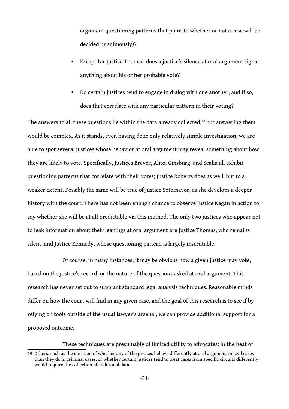argument questioning patterns that point to whether or not a case will be decided unanimously)?

- Except for Justice Thomas, does a justice's silence at oral argument signal anything about his or her probable vote?
- Do certain justices tend to engage in dialog with one another, and if so, does that correlate with any particular pattern in their voting?

The answers to all these questions lie within the data already collected,<sup>[19](#page-25-0)</sup> but answering them would be complex. As it stands, even having done only relatively simple investigation, we are able to spot several justices whose behavior at oral argument may reveal something about how they are likely to vote. Specifically, Justices Breyer, Alito, Ginsburg, and Scalia all exhibit questioning patterns that correlate with their votes; Justice Roberts does as well, but to a weaker extent. Possibly the same will be true of Justice Sotomayor, as she develops a deeper history with the court. There has not been enough chance to observe Justice Kagan in action to say whether she will be at all predictable via this method. The only two justices who appear not to leak information about their leanings at oral argument are Justice Thomas, who remains silent, and Justice Kennedy, whose questioning pattern is largely inscrutable.

Of course, in many instances, it may be obvious how a given justice may vote, based on the justice's record, or the nature of the questions asked at oral argument. This research has never set out to supplant standard legal analysis techniques. Reasonable minds differ on how the court will find in any given case, and the goal of this research is to see if by relying on tools outside of the usual lawyer's arsenal, we can provide additional support for a proposed outcome.

These techniques are presumably of limited utility to advocates: in the heat of

<span id="page-25-0"></span><sup>19</sup> Others, such as the question of whether any of the justices behave differently at oral argument in civil cases than they do in criminal cases, or whether certain justices tend to treat cases from specific circuits differently would require the collection of additional data.